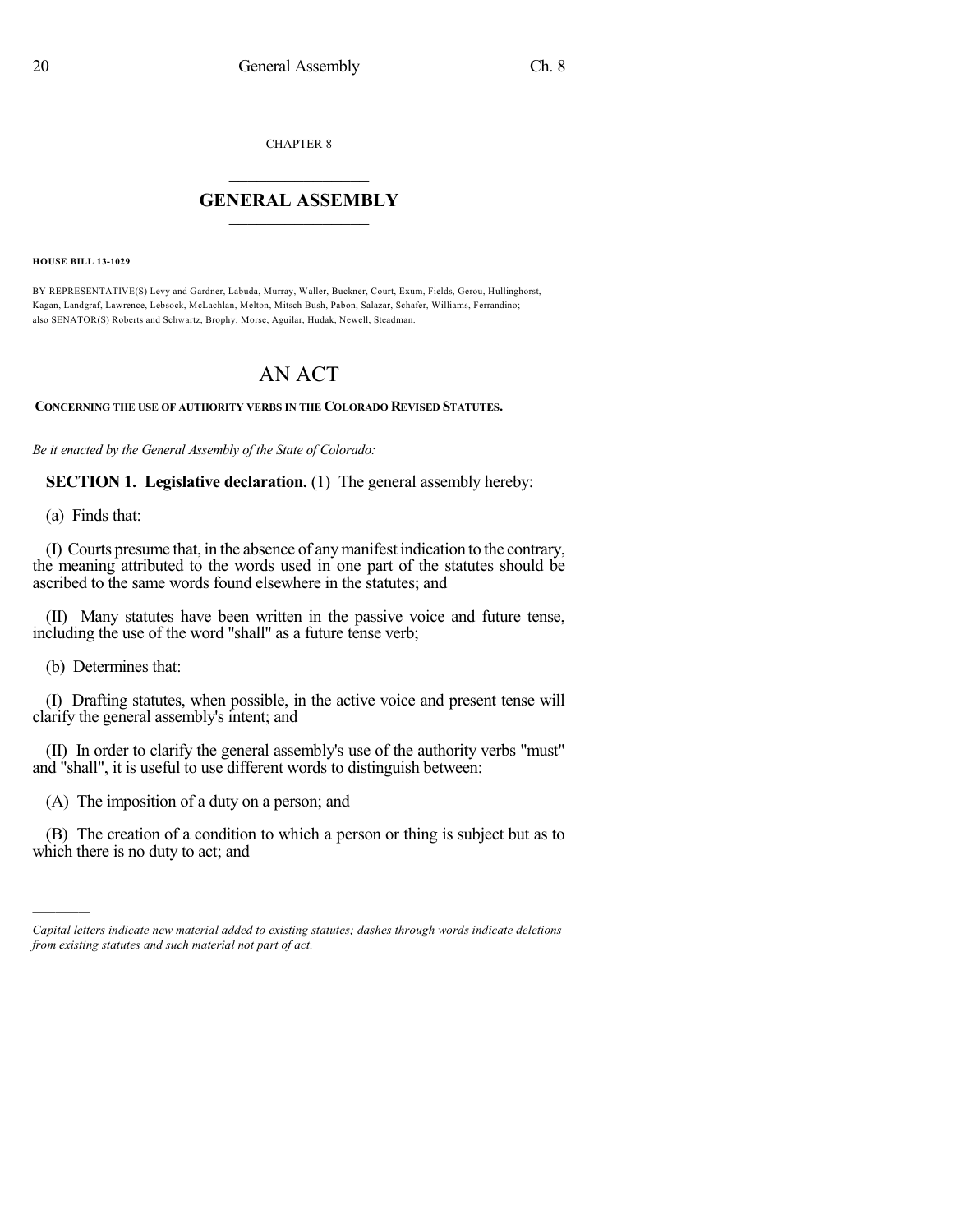CHAPTER 8

## $\overline{\phantom{a}}$  . The set of the set of the set of the set of the set of the set of the set of the set of the set of the set of the set of the set of the set of the set of the set of the set of the set of the set of the set o **GENERAL ASSEMBLY**  $\frac{1}{\sqrt{2}}$  . The set of  $\frac{1}{\sqrt{2}}$

**HOUSE BILL 13-1029**

BY REPRESENTATIVE(S) Levy and Gardner, Labuda, Murray, Waller, Buckner, Court, Exum, Fields, Gerou, Hullinghorst, Kagan, Landgraf, Lawrence, Lebsock, McLachlan, Melton, Mitsch Bush, Pabon, Salazar, Schafer, Williams, Ferrandino; also SENATOR(S) Roberts and Schwartz, Brophy, Morse, Aguilar, Hudak, Newell, Steadman.

## AN ACT

## **CONCERNING THE USE OF AUTHORITY VERBS IN THE COLORADO REVISED STATUTES.**

*Be it enacted by the General Assembly of the State of Colorado:*

**SECTION 1. Legislative declaration.** (1) The general assembly hereby:

(a) Finds that:

(I) Courts presume that, in the absence of anymanifest indication to the contrary, the meaning attributed to the words used in one part of the statutes should be ascribed to the same words found elsewhere in the statutes; and

(II) Many statutes have been written in the passive voice and future tense, including the use of the word "shall" as a future tense verb;

(b) Determines that:

)))))

(I) Drafting statutes, when possible, in the active voice and present tense will clarify the general assembly's intent; and

(II) In order to clarify the general assembly's use of the authority verbs "must" and "shall", it is useful to use different words to distinguish between:

(A) The imposition of a duty on a person; and

(B) The creation of a condition to which a person or thing is subject but as to which there is no duty to act; and

*Capital letters indicate new material added to existing statutes; dashes through words indicate deletions from existing statutes and such material not part of act.*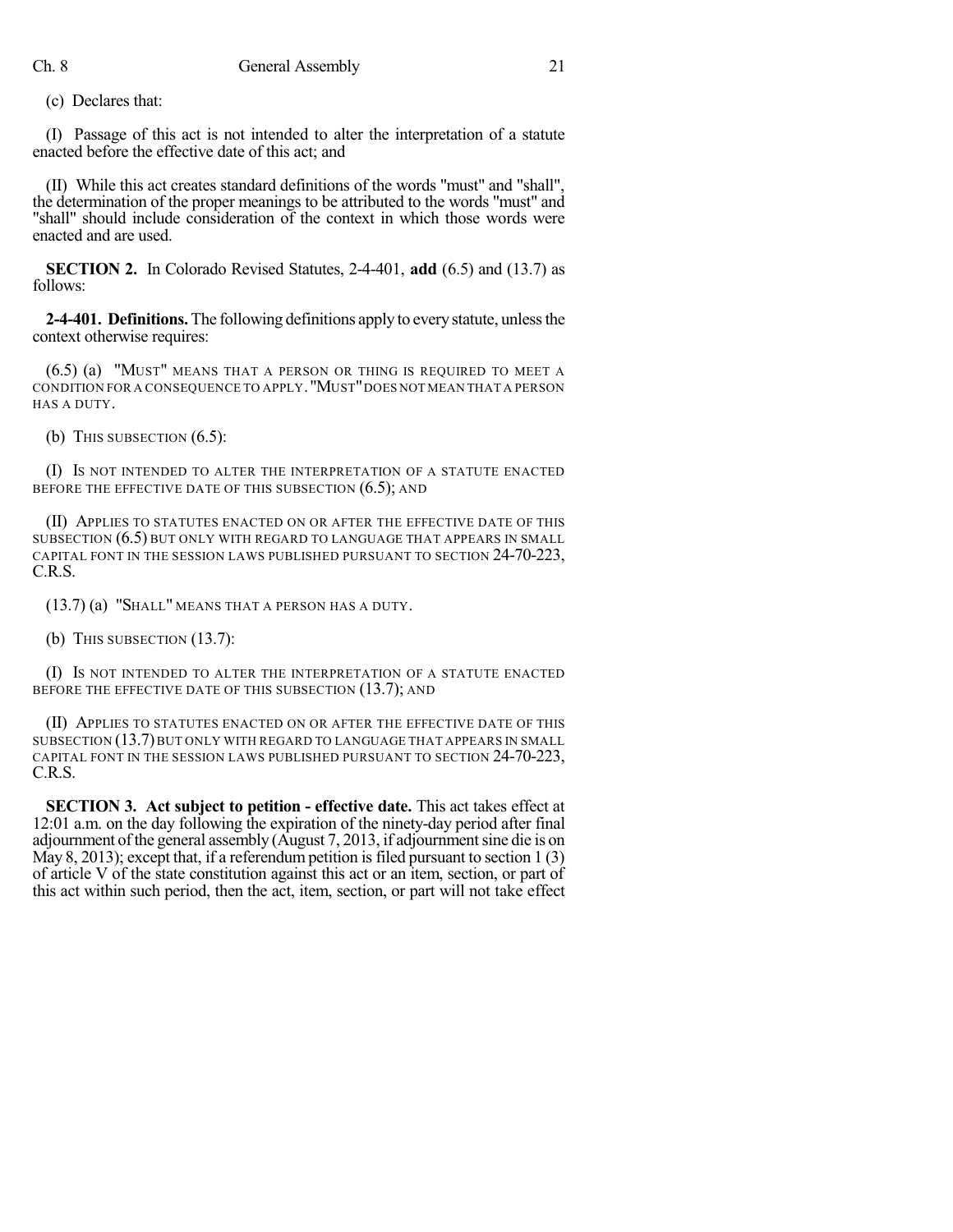(c) Declares that:

(I) Passage of this act is not intended to alter the interpretation of a statute enacted before the effective date of this act; and

(II) While this act creates standard definitions of the words "must" and "shall", the determination of the proper meanings to be attributed to the words "must" and "shall" should include consideration of the context in which those words were enacted and are used.

**SECTION 2.** In Colorado Revised Statutes, 2-4-401, **add** (6.5) and (13.7) as follows:

**2-4-401. Definitions.** The following definitions apply to every statute, unless the context otherwise requires:

(6.5) (a) "MUST" MEANS THAT A PERSON OR THING IS REQUIRED TO MEET A CONDITION FOR A CONSEQUENCE TO APPLY."MUST"DOES NOT MEAN THAT A PERSON HAS A DUTY.

(b) THIS SUBSECTION  $(6.5)$ :

(I) IS NOT INTENDED TO ALTER THE INTERPRETATION OF A STATUTE ENACTED BEFORE THE EFFECTIVE DATE OF THIS SUBSECTION  $(6.5)$ ; AND

(II) APPLIES TO STATUTES ENACTED ON OR AFTER THE EFFECTIVE DATE OF THIS SUBSECTION (6.5) BUT ONLY WITH REGARD TO LANGUAGE THAT APPEARS IN SMALL CAPITAL FONT IN THE SESSION LAWS PUBLISHED PURSUANT TO SECTION 24-70-223, C.R.S.

(13.7) (a) "SHALL" MEANS THAT A PERSON HAS A DUTY.

(b) THIS SUBSECTION  $(13.7)$ :

(I) IS NOT INTENDED TO ALTER THE INTERPRETATION OF A STATUTE ENACTED BEFORE THE EFFECTIVE DATE OF THIS SUBSECTION (13.7); AND

(II) APPLIES TO STATUTES ENACTED ON OR AFTER THE EFFECTIVE DATE OF THIS SUBSECTION (13.7)BUT ONLY WITH REGARD TO LANGUAGE THAT APPEARS IN SMALL CAPITAL FONT IN THE SESSION LAWS PUBLISHED PURSUANT TO SECTION 24-70-223, C.R.S.

**SECTION 3. Act subject to petition - effective date.** This act takes effect at 12:01 a.m. on the day following the expiration of the ninety-day period after final adjournment of the general assembly  $(August 7, 2013, if adjour (111)$ May 8, 2013); except that, if a referendum petition is filed pursuant to section  $1(3)$ of article V of the state constitution against this act or an item, section, or part of this act within such period, then the act, item, section, or part will not take effect